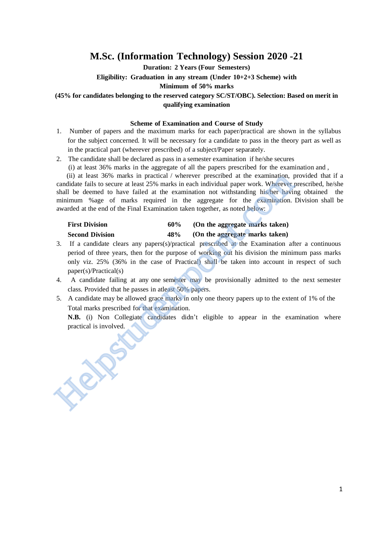## **M.Sc. (Information Technology) Session 2020 -21**

**Duration: 2 Years (Four Semesters)**

**Eligibility: Graduation in any stream (Under 10+2+3 Scheme) with**

**Minimum of 50% marks**

#### **(45% for candidates belonging to the reserved category SC/ST/OBC). Selection: Based on merit in qualifying examination**

#### **Scheme of Examination and Course of Study**

- 1. Number of papers and the maximum marks for each paper/practical are shown in the syllabus for the subject concerned. It will be necessary for a candidate to pass in the theory part as well as in the practical part (wherever prescribed) of a subject/Paper separately.
- 2. The candidate shall be declared as pass in a semester examination if he/she secures

(i) at least 36% marks in the aggregate of all the papers prescribed for the examination and ,

 (ii) at least 36% marks in practical / wherever prescribed at the examination, provided that if a candidate fails to secure at least 25% marks in each individual paper work. Wherever prescribed, he/she shall be deemed to have failed at the examination not withstanding his/her having obtained the minimum %age of marks required in the aggregate for the examination. Division shall be awarded at the end of the Final Examination taken together, as noted below: can did a test 36% matrices in practical / wherever preseribed at the examination, condidate fails to secure at least 25% marks in each individual paper work. Wherever shall be deemed to have failed at the examination not

| <b>First Division</b>  | 60% | (On the aggregate marks taken) |
|------------------------|-----|--------------------------------|
| <b>Second Division</b> | 48% | (On the aggregate marks taken) |

- 3. If a candidate clears any papers(s)/practical prescribed at the Examination after a continuous period of three years, then for the purpose of working out his division the minimum pass marks only viz. 25% (36% in the case of Practical) shall be taken into account in respect of such paper(s)/Practical(s)
- 4. A candidate failing at any one semester may be provisionally admitted to the next semester class. Provided that he passes in atleast 50% papers.
- 5. A candidate may be allowed grace marks in only one theory papers up to the extent of 1% of the Total marks prescribed for that examination.

**N.B.** (i) Non Collegiate candidates didn't eligible to appear in the examination where practical is involved.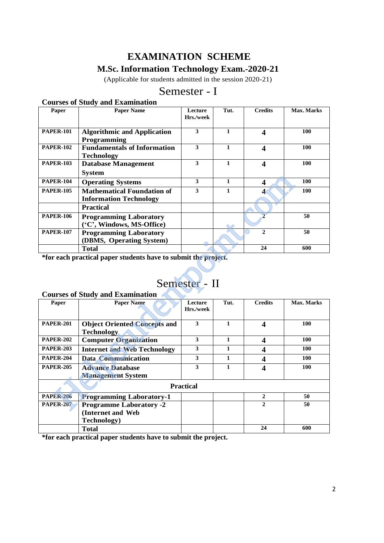## **EXAMINATION SCHEME**

## **M.Sc. Information Technology Exam.-2020-21**

(Applicable for students admitted in the session 2020-21)

## Semester - I

### **Courses of Study and Examination**

| Paper            | <b>Paper Name</b>                                                  | Lecture<br>Hrs./week | Tut. | <b>Credits</b>   | Max. Marks |
|------------------|--------------------------------------------------------------------|----------------------|------|------------------|------------|
| <b>PAPER-101</b> | <b>Algorithmic and Application</b><br><b>Programming</b>           | 3                    |      | 4                | 100        |
| <b>PAPER-102</b> | <b>Fundamentals of Information</b><br>Technology                   | 3                    |      | 4                | 100        |
| <b>PAPER-103</b> | <b>Database Management</b><br><b>System</b>                        | 3                    |      | Δ                | 100        |
| <b>PAPER-104</b> | <b>Operating Systems</b>                                           | 3                    | 1    | $\boldsymbol{4}$ | 100        |
| <b>PAPER-105</b> | <b>Mathematical Foundation of</b><br><b>Information Technology</b> | 3                    |      |                  | 100        |
|                  | <b>Practical</b>                                                   |                      |      |                  |            |
| <b>PAPER-106</b> | <b>Programming Laboratory</b><br>('C', Windows, MS-Office)         |                      |      | $\overline{2}$   | 50         |
| <b>PAPER-107</b> | <b>Programming Laboratory</b><br>(DBMS, Operating System)          |                      |      | $\mathbf{2}$     | 50         |
|                  | <b>Total</b>                                                       |                      |      | 24               | 600        |

# Semester - II

#### **Courses of Study and Examination**

| <b>PAPER-104</b> | <b>Operating Systems</b>                                       | 3                       | $\mathbf{1}$ | 4                       | 100        |
|------------------|----------------------------------------------------------------|-------------------------|--------------|-------------------------|------------|
| <b>PAPER-105</b> | <b>Mathematical Foundation of</b>                              | 3                       | $\mathbf{1}$ | 4                       | 100        |
|                  | <b>Information Technology</b>                                  |                         |              |                         |            |
|                  | <b>Practical</b>                                               |                         |              |                         |            |
| <b>PAPER-106</b> | <b>Programming Laboratory</b>                                  |                         |              | $\overline{2}$          | 50         |
|                  | ('C', Windows, MS-Office)                                      |                         |              |                         |            |
| <b>PAPER-107</b> | <b>Programming Laboratory</b>                                  |                         |              | $\overline{2}$          | 50         |
|                  | (DBMS, Operating System)                                       |                         |              |                         |            |
|                  | <b>Total</b>                                                   |                         |              | 24                      | 600        |
|                  | *for each practical paper students have to submit the project. |                         |              |                         |            |
|                  |                                                                |                         |              |                         |            |
|                  |                                                                |                         |              |                         |            |
|                  |                                                                | Semester - II           |              |                         |            |
|                  | <b>Courses of Study and Examination</b>                        |                         |              |                         |            |
| Paper            | <b>Paper Name</b>                                              | Lecture                 | Tut.         | <b>Credits</b>          | Max. Marks |
|                  |                                                                | Hrs./week               |              |                         |            |
| <b>PAPER-201</b> |                                                                | 3                       | $\mathbf{1}$ |                         | 100        |
|                  | <b>Object Oriented Concepts and</b><br><b>Technology</b>       |                         |              | 4                       |            |
| <b>PAPER-202</b> | <b>Computer Organization</b>                                   | 3                       | $\mathbf{1}$ | 4                       | 100        |
| <b>PAPER-203</b> |                                                                | 3                       | $\mathbf{1}$ |                         | 100        |
|                  | <b>Internet and Web Technology</b>                             |                         |              | 4                       |            |
| <b>PAPER-204</b> | <b>Data Communication</b>                                      | 3                       | $\mathbf{1}$ | $\overline{\mathbf{4}}$ | <b>100</b> |
| <b>PAPER-205</b> | <b>Advance Database</b>                                        | $\overline{\mathbf{3}}$ | $\mathbf{1}$ | $\overline{\mathbf{4}}$ | 100        |
|                  | <b>Management System</b>                                       |                         |              |                         |            |
| <b>Practical</b> |                                                                |                         |              |                         |            |
| <b>PAPER-206</b> | <b>Programming Laboratory-1</b>                                |                         |              | $\boldsymbol{2}$        | 50         |
| <b>PAPER-207</b> | <b>Programme Laboratory -2</b>                                 |                         |              | $\overline{2}$          | 50         |
|                  | (Internet and Web                                              |                         |              |                         |            |
|                  | <b>Technology</b> )                                            |                         |              |                         |            |
|                  | <b>Total</b>                                                   |                         |              | 24                      | 600        |

**\*for each practical paper students have to submit the project.**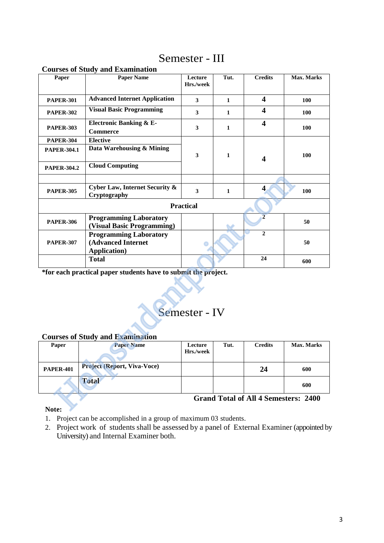## Semester - III

| Paper              | <b>Paper Name</b>                                                           | Lecture<br>Hrs./week | Tut.         | <b>Credits</b>                              | Max. Marks |
|--------------------|-----------------------------------------------------------------------------|----------------------|--------------|---------------------------------------------|------------|
| <b>PAPER-301</b>   | <b>Advanced Internet Application</b>                                        | 3                    | $\mathbf{1}$ | $\overline{\mathbf{4}}$                     | 100        |
| <b>PAPER-302</b>   | <b>Visual Basic Programming</b>                                             | $\mathbf{3}$         | $\mathbf{1}$ | $\overline{\mathbf{4}}$                     | 100        |
| <b>PAPER-303</b>   | <b>Electronic Banking &amp; E-</b><br><b>Commerce</b>                       | 3                    | $\mathbf{1}$ | $\overline{\mathbf{4}}$                     | 100        |
| <b>PAPER-304</b>   | <b>Elective</b>                                                             |                      |              |                                             |            |
| <b>PAPER-304.1</b> | Data Warehousing & Mining                                                   | 3                    | 1            | $\overline{\mathbf{4}}$                     | <b>100</b> |
| <b>PAPER-304.2</b> | <b>Cloud Computing</b>                                                      |                      |              |                                             |            |
|                    |                                                                             |                      |              |                                             |            |
| <b>PAPER-305</b>   | Cyber Law, Internet Security &<br>Cryptography                              | 3                    | 1            | $\overline{\mathbf{4}}$                     | 100        |
|                    |                                                                             | <b>Practical</b>     |              |                                             |            |
| <b>PAPER-306</b>   | <b>Programming Laboratory</b><br>(Visual Basic Programming)                 |                      |              | $\overline{2}$                              | 50         |
| <b>PAPER-307</b>   | <b>Programming Laboratory</b><br>(Advanced Internet<br><b>Application</b> ) |                      |              | $\overline{2}$                              | 50         |
|                    | <b>Total</b>                                                                |                      |              | 24                                          | 600        |
|                    | *for each practical paper students have to submit the project.              | Semester - IV        |              |                                             |            |
|                    | <b>Courses of Study and Examination</b>                                     |                      |              |                                             |            |
| Paper              | <b>Paper Name</b>                                                           | Lecture<br>Hrs./week | Tut.         | <b>Credits</b>                              | Max. Marks |
| <b>PAPER-401</b>   | <b>Project (Report, Viva-Voce)</b>                                          |                      |              | 24                                          | 600        |
|                    | <b>Total</b>                                                                |                      |              |                                             | 600        |
|                    |                                                                             |                      |              | <b>Grand Total of All 4 Semesters: 2400</b> |            |
| Note:              |                                                                             |                      |              |                                             |            |

#### **Courses of Study and Examination**

# Semester - IV

#### **Courses of Study and Examination**

| Paper            | <b>Paper Name</b>                  | Lecture<br>Hrs./week | Tut. | <b>Credits</b> | <b>Max. Marks</b> |
|------------------|------------------------------------|----------------------|------|----------------|-------------------|
|                  |                                    |                      |      |                |                   |
| <b>PAPER-401</b> | <b>Project (Report, Viva-Voce)</b> |                      |      | 24             | 600               |
|                  | <b>Total</b>                       |                      |      |                | 600               |

#### **Note:**

- 1. Project can be accomplished in a group of maximum 03 students.
- 2. Project work of students shall be assessed by a panel of External Examiner (appointed by University) and Internal Examiner both.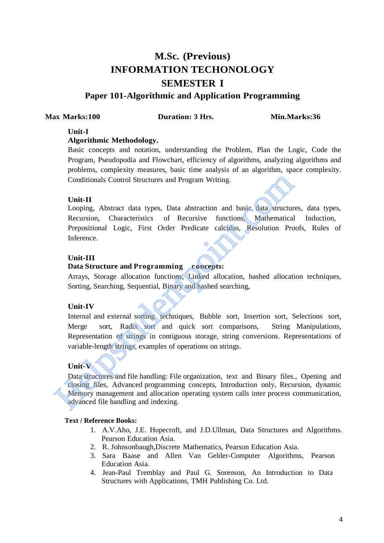## **M.Sc. (Previous) INFORMATION TECHONOLOGY SEMESTER I**

### **Paper 101-Algorithmic and Application Programming**

#### **Max Marks:100 Duration: 3 Hrs. Min.Marks:36**

#### **Unit-I**

#### **Algorithmic Methodology.**

Basic concepts and notation, understanding the Problem, Plan the Logic, Code the Program, Pseudopodia and Flowchart, efficiency of algorithms, analyzing algorithms and problems, complexity measures, basic time analysis of an algorithm, space complexity. Conditionals Control Structures and Program Writing.

#### **Unit-II**

Looping, Abstract data types, Data abstraction and basic data structures, data types, Recursion, Characteristics of Recursive functions, Mathematical Induction, Prepositional Logic, First Order Predicate calculus, Resolution Proofs, Rules of Inference.

#### **Unit-III**

#### **Data Structure and Programming concepts:**

Arrays, Storage allocation functions, Linked allocation, hashed allocation techniques, Sorting, Searching, Sequential, Binary and hashed searching,

#### **Unit-IV**

Internal and external sorting techniques, Bubble sort, Insertion sort, Selections sort, Merge sort, Radix sort and quick sort comparisons, String Manipulations, Representation of strings in contiguous storage, string conversions. Representations of variable-length strings, examples of operations on strings. Conditionals Control Structures and Program Writing.<br>
Unit-II<br>
Looping, Abstract data types, Data abstraction and basic data structur<br>
Recursion, Characteristics of Recursive functions, Mathematical<br>
Prepositional Logic, F

#### **Unit-V**

Data structures and file handling: File organization, text and Binary files., Opening and closing files, Advanced programming concepts, Introduction only, Recursion, dynamic Memory management and allocation operating system calls inter process communication, advanced file handling and indexing.

- 1. A.V.Aho, J.E. Hopecroft, and J.D.Ullman, Data Structures and Algorithms. Pearson Education Asia.
- 2. R. Johnsonbaugh,Discrete Mathematics, Pearson Education Asia.
- 3. Sara Baase and Allen Van Gelder-Computer Algorithms, Pearson Education Asia.
- 4. Jean-Paul Tremblay and Paul G. Sorenson, An Introduction to Data Structures with Applications, TMH Publishing Co. Ltd.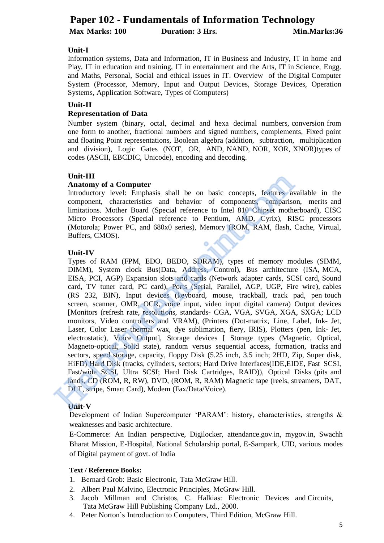## **Paper 102 - Fundamentals of Information Technology Max Marks: 100 Duration: 3 Hrs.** Min.Marks: 36

#### **Unit-I**

Information systems, Data and Information, IT in Business and Industry, IT in home and Play, IT in education and training, IT in entertainment and the Arts, IT in Science, Engg. and Maths, Personal, Social and ethical issues in IT. Overview of the Digital Computer System (Processor, Memory, Input and Output Devices, Storage Devices, Operation Systems, Application Software, Types of Computers)

#### **Unit-II**

#### **Representation of Data**

Number system (binary, octal, decimal and hexa decimal numbers, conversion from one form to another, fractional numbers and signed numbers, complements, Fixed point and floating Point representations, Boolean algebra (addition, subtraction, multiplication and division), Logic Gates (NOT, OR, AND, NAND, NOR, XOR, XNOR)types of codes (ASCII, EBCDIC, Unicode), encoding and decoding.

#### **Unit-III**

#### **Anatomy of a Computer**

Introductory level: Emphasis shall be on basic concepts, features available in the component, characteristics and behavior of components, comparison, merits and limitations. Mother Board (Special reference to Intel 810 Chipset motherboard), CISC Micro Processors (Special reference to Pentium, AMD, Cyrix), RISC processors (Motorola; Power PC, and 680x0 series), Memory (ROM, RAM, flash, Cache, Virtual, Buffers, CMOS).

#### **Unit-IV**

Types of RAM (FPM, EDO, BEDO, SDRAM), types of memory modules (SIMM, DIMM), System clock Bus(Data, Address, Control), Bus architecture (ISA, MCA, EISA, PCI, AGP) Expansion slots and cards (Network adapter cards, SCSI card, Sound card, TV tuner card, PC card), Ports (Serial, Parallel, AGP, UGP, Fire wire), cables (RS 232, BIN), Input devices (keyboard, mouse, trackball, track pad, pen touch screen, scanner, OMR, OCR, voice input, video input digital camera) Output devices [Monitors (refresh rate, resolutions, standards- CGA, VGA, SVGA, XGA, SXGA; LCD monitors, Video controllers and VRAM), (Printers (Dot-matrix, Line, Label, Ink- Jet, Laser, Color Laser thermal wax, dye sublimation, fiery, IRIS), Plotters (pen, Ink- Jet, electrostatic), Voice Output], Storage devices [ Storage types (Magnetic, Optical, Magneto-optical, Solid state), random versus sequential access, formation, tracks and sectors, speed storage, capacity, floppy Disk (5.25 inch, 3.5 inch; 2HD, Zip, Super disk, HiFD) Hard Disk (tracks, cylinders, sectors; Hard Drive Interfaces(IDE,EIDE, Fast SCSI, Fast/wide SCSI, Ultra SCSI; Hard Disk Cartridges, RAID)), Optical Disks (pits and lands, CD (ROM, R, RW), DVD, (ROM, R, RAM) Magnetic tape (reels, streamers, DAT, DLT, stripe, Smart Card), Modem (Fax/Data/Voice). Unit-II<br> **Anatomy of a Computer**<br> **Anatomy of a Computer**<br>
Introductory level: Emphasis shall be on basic concepts, comparist<br>
imitations. Mother Board (Special reference to Intel 810 Chipset moth<br>
Initiations. Mother Boar

#### **Unit-V**

Development of Indian Supercomputer 'PARAM': history, characteristics, strengths & weaknesses and basic architecture.

E-Commerce: An Indian perspective, Digilocker, attendance.gov.in, mygov.in, Swachh Bharat Mission, E-Hospital, National Scholarship portal, E-Sampark, UID, various modes of Digital payment of govt. of India

- 1. Bernard Grob: Basic Electronic, Tata McGraw Hill.
- 2. Albert Paul Malvino, Electronic Principles, McGraw Hill.
- 3. Jacob Millman and Christos, C. Halkias: Electronic Devices and Circuits, Tata McGraw Hill Publishing Company Ltd., 2000.
- 4. Peter Norton's Introduction to Computers, Third Edition, McGraw Hill.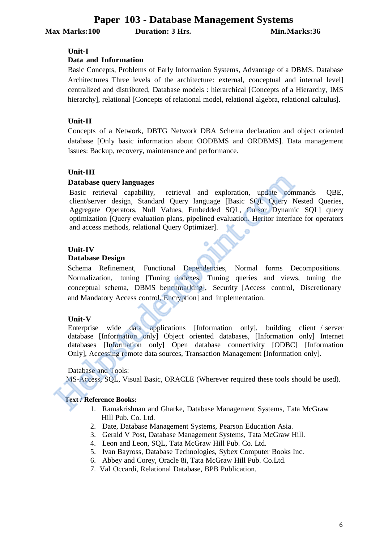**Max Marks:100 Duration: 3 Hrs. Min.Marks:36**

#### **Unit-I**

#### **Data and Information**

Basic Concepts, Problems of Early Information Systems, Advantage of a DBMS. Database Architectures Three levels of the architecture: external, conceptual and internal level] centralized and distributed, Database models : hierarchical [Concepts of a Hierarchy, IMS hierarchy], relational [Concepts of relational model, relational algebra, relational calculus].

#### **Unit-II**

Concepts of a Network, DBTG Network DBA Schema declaration and object oriented database [Only basic information about OODBMS and ORDBMS]. Data management Issues: Backup, recovery, maintenance and performance.

#### **Unit-III**

#### **Database query languages**

Basic retrieval capability, retrieval and exploration, update commands QBE, client/server design, Standard Query language [Basic SQL Query Nested Queries, Aggregate Operators, Null Values, Embedded SQL, Cursor Dynamic SQL] query optimization [Query evaluation plans, pipelined evaluation. Heritor interface for operators and access methods, relational Query Optimizer]. **Database query languages**<br> **Database query languages**<br>
Basic retrieval capability, retrieval and exploration, update com<br>
degregate Operators, Null Values, Embedded SQL, Cursor Dynamioptimization [Query evaluation plans,

#### **Unit-IV**

#### **Database Design**

Schema Refinement, Functional Dependencies, Normal forms Decompositions. Normalization, tuning [Tuning indexes, Tuning queries and views, tuning the conceptual schema, DBMS benchmarking], Security [Access control, Discretionary and Mandatory Access control, Encryption] and implementation.

#### **Unit-V**

Enterprise wide data applications [Information only], building client / server database [Information only] Object oriented databases, [Information only] Internet databases [Information only] Open database connectivity [ODBC] [Information Only], Accessing remote data sources, Transaction Management [Information only].

#### Database and Tools:

MS-Access, SQL, Visual Basic, ORACLE (Wherever required these tools should be used).

- 1. Ramakrishnan and Gharke, Database Management Systems, Tata McGraw Hill Pub. Co. Ltd.
- 2. Date, Database Management Systems, Pearson Education Asia.
- 3. Gerald V Post, Database Management Systems, Tata McGraw Hill.
- 4. Leon and Leon, SQL, Tata McGraw Hill Pub. Co. Ltd.
- 5. Ivan Bayross, Database Technologies, Sybex Computer Books Inc.
- 6. Abbey and Corey, Oracle 8i, Tata McGraw Hill Pub. Co.Ltd.
- 7. Val Occardi, Relational Database, BPB Publication.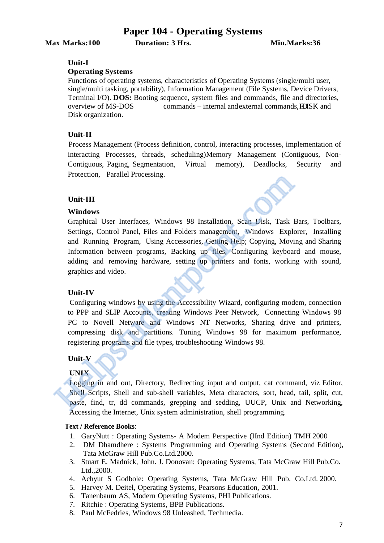### **Paper 104 - Operating Systems**

**Max Marks:100 Duration: 3 Hrs. Min.Marks:36**

#### **Unit-I**

#### **Operating Systems**

Functions of operating systems, characteristics of Operating Systems (single/multi user, single/multi tasking, portability), Information Management (File Systems, Device Drivers, Terminal I/O). **DOS:** Booting sequence, system files and commands, file and directories, overview of MS-DOS commands – internal and external commands,FDISK and Disk organization.

#### **Unit-II**

Process Management (Process definition, control, interacting processes, implementation of interacting Processes, threads, scheduling)Memory Management (Contiguous, Non-Contiguous, Paging, Segmentation, Virtual memory), Deadlocks, Security and Protection, Parallel Processing.

#### **Unit-III**

#### **Windows**

Graphical User Interfaces, Windows 98 Installation, Scan Disk, Task Bars, Toolbars, Settings, Control Panel, Files and Folders management, Windows Explorer, Installing and Running Program, Using Accessories, Getting Help; Copying, Moving and Sharing Information between programs, Backing up files, Configuring keyboard and mouse, adding and removing hardware, setting up printers and fonts, working with sound, graphics and video. Trolection, Framer Flocessing.<br> **Cinit-III**<br>
Windows<br>
Graphical User Interfaces, Windows 98 Installation, Scan Disk, Task<br>
Settings, Control Panel, Files and Folders management, Windows Expl<br>
and Running Program, Using Acc

#### **Unit-IV**

Configuring windows by using the Accessibility Wizard, configuring modem, connection to PPP and SLIP Accounts, creating Windows Peer Network, Connecting Windows 98 PC to Novell Netware and Windows NT Networks, Sharing drive and printers, compressing disk and partitions. Tuning Windows 98 for maximum performance, registering programs and file types, troubleshooting Windows 98.

#### **Unit-V**

#### **UNIX**

Logging in and out, Directory, Redirecting input and output, cat command, viz Editor, Shell Scripts, Shell and sub-shell variables, Meta characters, sort, head, tail, split, cut, paste, find, tr, dd commands, grepping and sedding, UUCP, Unix and Networking, Accessing the Internet, Unix system administration, shell programming.

- 1. GaryNutt : Operating Systems- A Modem Perspective (IInd Edition) TMH 2000
- 2. DM Dhamdhere : Systems Programming and Operating Systems (Second Edition), Tata McGraw Hill Pub.Co.Ltd.2000.
- 3. Stuart E. Madnick, John. J. Donovan: Operating Systems, Tata McGraw Hill Pub.Co. Ltd.,2000.
- 4. Achyut S Godbole: Operating Systems, Tata McGraw Hill Pub. Co.Ltd. 2000.
- 5. Harvey M. Deitel, Operating Systems, Pearsons Education, 2001.
- 6. Tanenbaum AS, Modern Operating Systems, PHI Publications.
- 7. Ritchie : Operating Systems, BPB Publications.
- 8. Paul McFedries, Windows 98 Unleashed, Techmedia.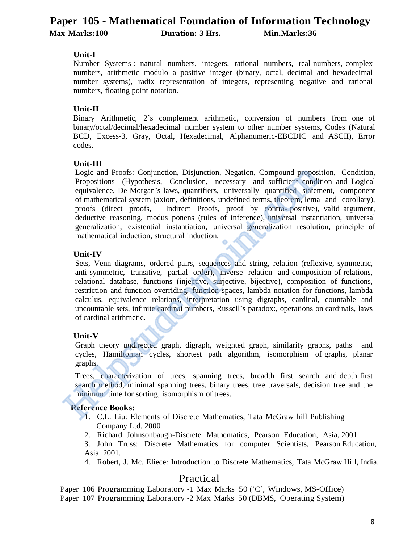## **Paper 105 - Mathematical Foundation of Information Technology Max Marks:100 Duration: 3 Hrs. Min.Marks:36**

#### **Unit-I**

Number Systems : natural numbers, integers, rational numbers, real numbers, complex numbers, arithmetic modulo a positive integer (binary, octal, decimal and hexadecimal number systems), radix representation of integers, representing negative and rational numbers, floating point notation.

#### **Unit-II**

Binary Arithmetic, 2's complement arithmetic, conversion of numbers from one of binary/octal/decimal/hexadecimal number system to other number systems, Codes (Natural BCD, Excess-3, Gray, Octal, Hexadecimal, Alphanumeric-EBCDIC and ASCII), Error codes.

#### **Unit-III**

Logic and Proofs: Conjunction, Disjunction, Negation, Compound proposition, Condition, Propositions (Hypothesis, Conclusion, necessary and sufficient condition and Logical equivalence, De Morgan's laws, quantifiers, universally quantified statement, component of mathematical system (axiom, definitions, undefined terms, theorem, lema and corollary), proofs (direct proofs, Indirect Proofs, proof by contra- positive), valid argument, deductive reasoning, modus ponens (rules of inference), universal instantiation, universal generalization, existential instantiation, universal generalization resolution, principle of mathematical induction, structural induction. Logic and Proofs: Conjunction, Disjunction, Negation, Compound proposi<br>
Propositions (Hypothesis, Conclusion, necessary and sufficient condi<br>
equivalence, De Morgan's laws, quantifiers, universally quantified staten<br>
of ma

#### **Unit-IV**

Sets, Venn diagrams, ordered pairs, sequences and string, relation (reflexive, symmetric, anti-symmetric, transitive, partial order), inverse relation and composition of relations, relational database, functions (injective, surjective, bijective), composition of functions, restriction and function overriding, function spaces, lambda notation for functions, lambda calculus, equivalence relations, interpretation using digraphs, cardinal, countable and uncountable sets, infinite cardinal numbers, Russell's paradox:, operations on cardinals, laws of cardinal arithmetic.

#### **Unit-V**

Graph theory undirected graph, digraph, weighted graph, similarity graphs, paths and cycles, Hamiltonian cycles, shortest path algorithm, isomorphism of graphs, planar graphs.

Trees, characterization of trees, spanning trees, breadth first search and depth first search method, minimal spanning trees, binary trees, tree traversals, decision tree and the minimum time for sorting, isomorphism of trees.

#### **Reference Books:**

- 1. C.L. Liu: Elements of Discrete Mathematics, Tata McGraw hill Publishing Company Ltd. 2000
- 2. Richard Johnsonbaugh-Discrete Mathematics, Pearson Education, Asia, 2001.

3. John Truss: Discrete Mathematics for computer Scientists, Pearson Education, Asia. 2001.

4. Robert, J. Mc. Eliece: Introduction to Discrete Mathematics, Tata McGraw Hill, India.

### Practical

Paper 106 Programming Laboratory -1 Max Marks 50 ('C', Windows, MS-Office) Paper 107 Programming Laboratory -2 Max Marks 50 (DBMS, Operating System)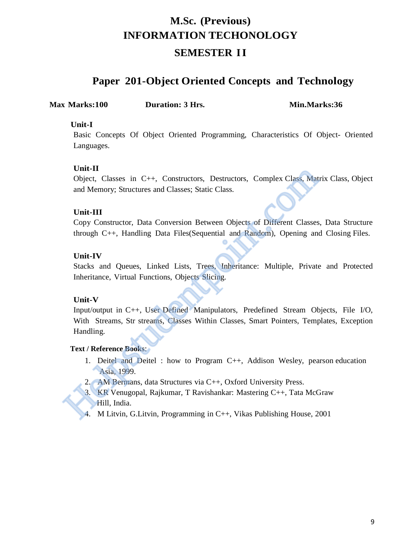# **M.Sc. (Previous) INFORMATION TECHONOLOGY**

## **SEMESTER II**

## **Paper 201-Object Oriented Concepts and Technology**

**Max Marks:100 Duration: 3 Hrs. Min.Marks:36**

#### **Unit-I**

Basic Concepts Of Object Oriented Programming, Characteristics Of Object- Oriented Languages.

#### **Unit-II**

Object, Classes in C++, Constructors, Destructors, Complex Class, Matrix Class, Object and Memory; Structures and Classes; Static Class.

#### **Unit-III**

Copy Constructor, Data Conversion Between Objects of Different Classes, Data Structure through C++, Handling Data Files(Sequential and Random), Opening and Closing Files.

#### **Unit-IV**

Stacks and Queues, Linked Lists, Trees, Inheritance: Multiple, Private and Protected Inheritance, Virtual Functions, Objects Slicing.

### **Unit-V**

Input/output in C++, User Defined Manipulators, Predefined Stream Objects, File I/O, With Streams, Str streams, Classes Within Classes, Smart Pointers, Templates, Exception Handling. Uni-11<br>
Object, Classes in C++, Constructors, Destructors, Complex Class, Matrix<br>
and Memory; Structures and Classes; Static Class.<br>
Unit-III<br>
Copy Constructor, Data Conversion Between Objects of Different Classes, I<br>
chro

- 1. Deitel and Deitel : how to Program C++, Addison Wesley, pearson education Asia, 1999.
- 2. AM Bermans, data Structures via C++, Oxford University Press.
- 3. KR Venugopal, Rajkumar, T Ravishankar: Mastering C++, Tata McGraw
- 4. M Litvin, G.Litvin, Programming in C++, Vikas Publishing House, 2001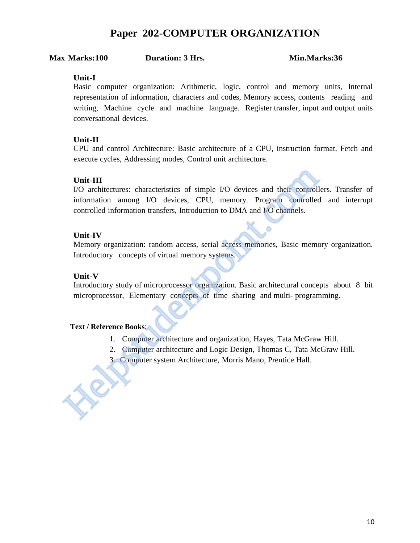## **Paper 202-COMPUTER ORGANIZATION**

#### **Max Marks:100 Duration: 3 Hrs. Min.Marks:36**

#### **Unit-I**

Basic computer organization: Arithmetic, logic, control and memory units, Internal representation of information, characters and codes, Memory access, contents reading and writing, Machine cycle and machine language. Register transfer, input and output units conversational devices.

#### **Unit-II**

CPU and control Architecture: Basic architecture of a CPU, instruction format, Fetch and execute cycles, Addressing modes, Control unit architecture.

#### **Unit-III**

I/O architectures: characteristics of simple I/O devices and their controllers. Transfer of information among I/O devices, CPU, memory. Program controlled and interrupt controlled information transfers, Introduction to DMA and I/O channels. Unit-III<br>
1/O architectures: characteristics of simple 1/O devices and their controllum<br>
1/O architectures: characteristics CPU, memory. Program controlled<br>
1/O channels.<br>
1/O comment controlled information transfers, Intr

#### **Unit-IV**

Memory organization: random access, serial access memories, Basic memory organization. Introductory concepts of virtual memory systems.

#### **Unit-V**

Introductory study of microprocessor organization. Basic architectural concepts about 8 bit microprocessor, Elementary concepts of time sharing and multi- programming.

- 1. Computer architecture and organization, Hayes, Tata McGraw Hill.
- 2. Computer architecture and Logic Design, Thomas C, Tata McGraw Hill.
- 3. Computer system Architecture, Morris Mano, Prentice Hall.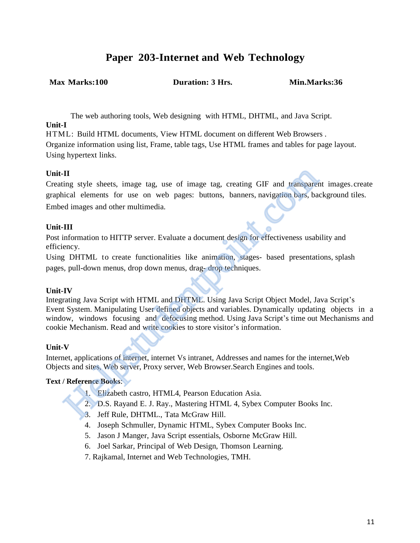## **Paper 203-Internet and Web Technology**

**Max Marks:100 Duration: 3 Hrs. Min.Marks:36**

The web authoring tools, Web designing with HTML, DHTML, and Java Script. **Unit-I**

HTML: Build HTML documents, View HTML document on different Web Browsers . Organize information using list, Frame, table tags, Use HTML frames and tables for page layout. Using hypertext links.

#### **Unit-II**

Creating style sheets, image tag, use of image tag, creating GIF and transparent images.create graphical elements for use on web pages: buttons, banners, navigation bars, background tiles. Embed images and other multimedia.

#### **Unit-III**

Post information to HITTP server. Evaluate a document design for effectiveness usability and efficiency.

Using DHTML to create functionalities like animation, stages- based presentations, splash pages, pull-down menus, drop down menus, drag- drop techniques.

#### **Unit-IV**

Integrating Java Script with HTML and DHTML. Using Java Script Object Model, Java Script's Event System. Manipulating User defined objects and variables. Dynamically updating objects in a window, windows focusing and defocusing method. Using Java Script's time out Mechanisms and cookie Mechanism. Read and write cookies to store visitor's information. II<br>
ing style sheets, image tag, use of image tag, creating GIF and transpare<br>
icial elements for use on web pages: buttons, banners, navigation bars, ba<br>
ed images and other multimedia.<br>
III<br>
information to HITTP server.

#### **Unit-V**

Internet, applications of internet, internet Vs intranet, Addresses and names for the internet,Web Objects and sites, Web server, Proxy server, Web Browser.Search Engines and tools.

- 1. Elizabeth castro, HTML4, Pearson Education Asia.
- 2. D.S. Rayand E. J. Ray., Mastering HTML 4, Sybex Computer Books Inc.
- 3. Jeff Rule, DHTML., Tata McGraw Hill.
- 4. Joseph Schmuller, Dynamic HTML, Sybex Computer Books Inc.
- 5. Jason J Manger, Java Script essentials, Osborne McGraw Hill.
- 6. Joel Sarkar, Principal of Web Design, Thomson Learning.
- 7. Rajkamal, Internet and Web Technologies, TMH.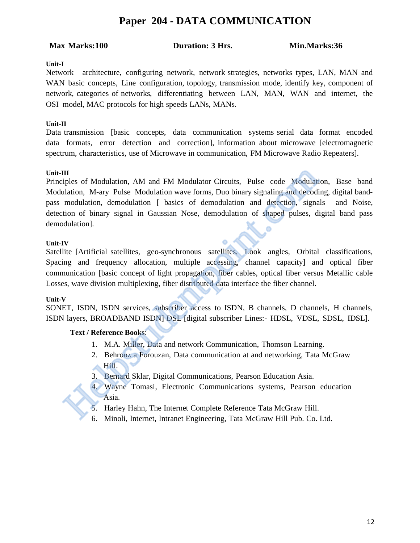## **Paper 204 - DATA COMMUNICATION**

#### **Max Marks:100 Duration: 3 Hrs. Min.Marks:36**

#### **Unit-I**

Network architecture, configuring network, network strategies, networks types, LAN, MAN and WAN basic concepts, Line configuration, topology, transmission mode, identify key, component of network, categories of networks, differentiating between LAN, MAN, WAN and internet, the OSI model, MAC protocols for high speeds LANs, MANs.

#### **Unit-II**

Data transmission [basic concepts, data communication systems serial data format encoded data formats, error detection and correction], information about microwave [electromagnetic spectrum, characteristics, use of Microwave in communication, FM Microwave Radio Repeaters].

#### **Unit-III**

Principles of Modulation, AM and FM Modulator Circuits, Pulse code Modulation, Base band Modulation, M-ary Pulse Modulation wave forms, Duo binary signaling and decoding, digital bandpass modulation, demodulation [ basics of demodulation and detection, signals and Noise, detection of binary signal in Gaussian Nose, demodulation of shaped pulses, digital band pass demodulation]. III<br>
iples of Modulation, AM and FM Modulator Circuits, Pulse code Modulation<br>
induction, M-ary Pulse Modulation wave forms, Duo binary signaling and decoding<br>
modulation, demodulation [ basics of demodulation and detectio

#### **Unit-IV**

Satellite [Artificial satellites, geo-synchronous satellites, Look angles, Orbital classifications, Spacing and frequency allocation, multiple accessing, channel capacity] and optical fiber communication [basic concept of light propagation, fiber cables, optical fiber versus Metallic cable Losses, wave division multiplexing, fiber distributed data interface the fiber channel.

#### **Unit-V**

SONET, ISDN, ISDN services, subscriber access to ISDN, B channels, D channels, H channels, ISDN layers, BROADBAND ISDN] DSL [digital subscriber Lines:- HDSL, VDSL, SDSL, IDSL].

- 1. M.A. Miller, Data and network Communication, Thomson Learning.
- 2. Behrouz a Forouzan, Data communication at and networking, Tata McGraw Hill.
- 3. Bernard Sklar, Digital Communications, Pearson Education Asia.
- 4. Wayne Tomasi, Electronic Communications systems, Pearson education Asia.
- 
- 6. Minoli, Internet, Intranet Engineering, Tata McGraw Hill Pub. Co. Ltd.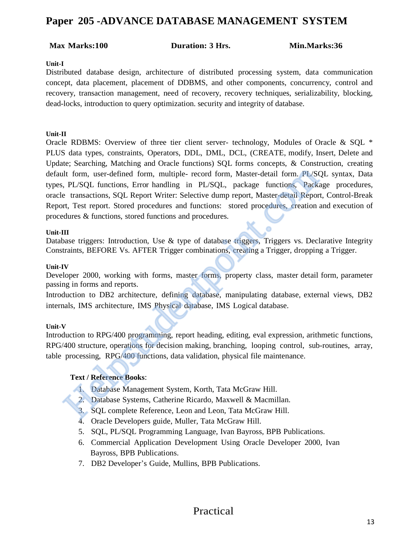## **Paper 205 -ADVANCE DATABASE MANAGEMENT SYSTEM**

#### **Max Marks:100 Duration: 3 Hrs. Min.Marks:36**

#### **Unit-I**

Distributed database design, architecture of distributed processing system, data communication concept, data placement, placement of DDBMS, and other components, concurrency, control and recovery, transaction management, need of recovery, recovery techniques, serializability, blocking, dead-locks, introduction to query optimization. security and integrity of database.

#### **Unit-II**

Oracle RDBMS: Overview of three tier client server- technology, Modules of Oracle & SQL \* PLUS data types, constraints, Operators, DDL, DML, DCL, (CREATE, modify, Insert, Delete and Update; Searching, Matching and Oracle functions) SQL forms concepts, & Construction, creating default form, user-defined form, multiple- record form, Master-detail form. PL/SQL syntax, Data types, PL/SQL functions, Error handling in PL/SQL, package functions, Package procedures, oracle transactions, SQL Report Writer: Selective dump report, Master-detail Report, Control-Break Report, Test report. Stored procedures and functions: stored procedures, creation and execution of procedures & functions, stored functions and procedures. It form, user-defined form, multiple- record form, Master-detail form. PL/SQ, p. 1/SQL functions, Error handling in PL/SQL, package functions, Packately the transactions, SQL Report Writer: Selective dump report, Master-de

#### **Unit-III**

Database triggers: Introduction, Use & type of database triggers, Triggers vs. Declarative Integrity Constraints, BEFORE Vs. AFTER Trigger combinations, creating a Trigger, dropping a Trigger.

#### **Unit-IV**

Developer 2000, working with forms, master forms, property class, master detail form, parameter passing in forms and reports.

Introduction to DB2 architecture, defining database, manipulating database, external views, DB2 internals, IMS architecture, IMS Physical database, IMS Logical database.

#### **Unit-V**

Introduction to RPG/400 programming, report heading, editing, eval expression, arithmetic functions, RPG/400 structure, operations for decision making, branching, looping control, sub-routines, array, table processing, RPG/400 functions, data validation, physical file maintenance.

#### **Text / Reference Books**:

- 1. Database Management System, Korth, Tata McGraw Hill.
- 2. Database Systems, Catherine Ricardo, Maxwell & Macmillan.
- 3. SQL complete Reference, Leon and Leon, Tata McGraw Hill.
- 4. Oracle Developers guide, Muller, Tata McGraw Hill.
- 5. SQL, PL/SQL Programming Language, Ivan Bayross, BPB Publications.
- 6. Commercial Application Development Using Oracle Developer 2000, Ivan Bayross, BPB Publications.
- 7. DB2 Developer's Guide, Mullins, BPB Publications.

### Practical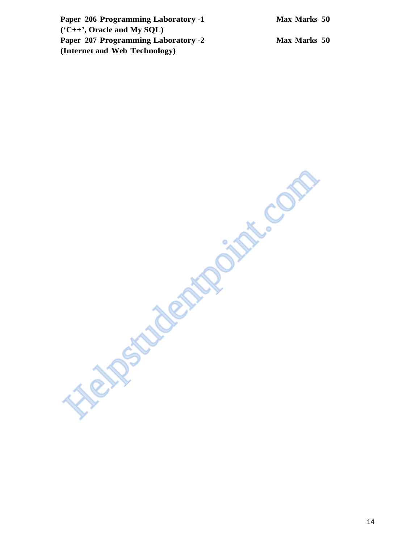| Paper 206 Programming Laboratory -1        | Max Marks 50 |  |
|--------------------------------------------|--------------|--|
| $(C++$ , Oracle and My SQL)                |              |  |
| <b>Paper 207 Programming Laboratory -2</b> | Max Marks 50 |  |
| (Internet and Web Technology)              |              |  |

**Heipstudentpoint.com**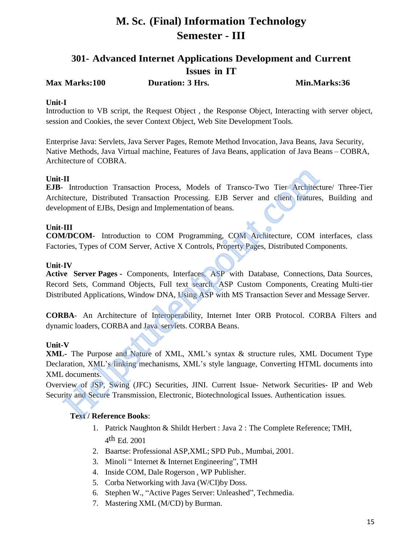## **M. Sc. (Final) Information Technology Semester - III**

## **301- Advanced Internet Applications Development and Current Issues in IT**

**Max Marks:100 Duration: 3 Hrs. Min.Marks:36**

#### **Unit-I**

Introduction to VB script, the Request Object , the Response Object, Interacting with server object, session and Cookies, the sever Context Object, Web Site Development Tools.

Enterprise Java: Servlets, Java Server Pages, Remote Method Invocation, Java Beans, Java Security, Native Methods, Java Virtual machine, Features of Java Beans, application of Java Beans – COBRA, Architecture of COBRA.

#### **Unit-II**

**EJB**- Introduction Transaction Process, Models of Transco-Two Tier Architecture/ Three-Tier Architecture, Distributed Transaction Processing. EJB Server and client features, Building and development of EJBs, Design and Implementation of beans. **II**<br>
Introduction Transaction Process, Models of Transco-Two Tier Architecticeture, Distributed Transaction Processing. EJB Server and client features<br>
IIII<br> **IIII**<br> **IIII**<br> **IIII**<br> **IIII**<br> **IIII**<br> **IIII**<br> **IIII**<br> **IIII**<br>

### **Unit-III**

**COM/DCOM**- Introduction to COM Programming, COM Architecture, COM interfaces, class Factories, Types of COM Server, Active X Controls, Property Pages, Distributed Components.

#### **Unit-IV**

**Active Server Pages -** Components, Interfaces, ASP with Database, Connections, Data Sources, Record Sets, Command Objects, Full text search. ASP Custom Components, Creating Multi-tier Distributed Applications, Window DNA, Using ASP with MS Transaction Sever and Message Server.

**CORBA**- An Architecture of Interoperability, Internet Inter ORB Protocol. CORBA Filters and dynamic loaders, CORBA and Java servlets. CORBA Beans.

#### **Unit-V**

**XML-** The Purpose and Nature of XML, XML's syntax & structure rules, XML Document Type Declaration, XML's linking mechanisms, XML's style language, Converting HTML documents into XML documents.

Overview of JSP, Swing (JFC) Securities, JINI. Current Issue- Network Securities- IP and Web Security and Secure Transmission, Electronic, Biotechnological Issues. Authentication issues.

- 1. Patrick Naughton & Shildt Herbert : Java 2 : The Complete Reference; TMH, 4 th Ed. 2001
- 2. Baartse: Professional ASP,XML; SPD Pub., Mumbai, 2001.
- 3. Minoli " Internet & Internet Engineering", TMH
- 4. Inside COM, Dale Rogerson , WP Publisher.
- 5. Corba Networking with Java (W/CI)by Doss.
- 6. Stephen W., "Active Pages Server: Unleashed", Techmedia.
- 7. Mastering XML (M/CD) by Burman.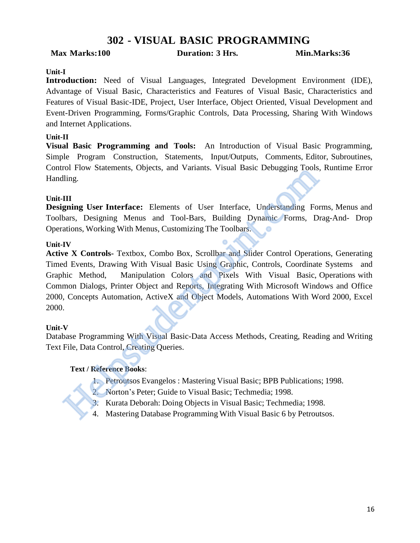## **302 - VISUAL BASIC PROGRAMMING**

#### **Max Marks:100 Duration: 3 Hrs. Min.Marks:36**

#### **Unit-I**

**Introduction:** Need of Visual Languages, Integrated Development Environment (IDE), Advantage of Visual Basic, Characteristics and Features of Visual Basic, Characteristics and Features of Visual Basic-IDE, Project, User Interface, Object Oriented, Visual Development and Event-Driven Programming, Forms/Graphic Controls, Data Processing, Sharing With Windows and Internet Applications.

#### **Unit-II**

**Visual Basic Programming and Tools:** An Introduction of Visual Basic Programming, Simple Program Construction, Statements, Input/Outputs, Comments, Editor, Subroutines, Control Flow Statements, Objects, and Variants. Visual Basic Debugging Tools, Runtime Error Handling.

#### **Unit-III**

**Designing User Interface:** Elements of User Interface, Understanding Forms, Menus and Toolbars, Designing Menus and Tool-Bars, Building Dynamic Forms, Drag-And- Drop Operations, Working With Menus, Customizing The Toolbars.

#### **Unit-IV**

**Active X Controls-** Textbox, Combo Box, Scrollbar and Slider Control Operations, Generating Timed Events, Drawing With Visual Basic Using Graphic, Controls, Coordinate Systems and Graphic Method, Manipulation Colors and Pixels With Visual Basic, Operations with Common Dialogs, Printer Object and Reports, Integrating With Microsoft Windows and Office 2000, Concepts Automation, ActiveX and Object Models, Automations With Word 2000, Excel 2000. 11. The Visual Basic Statements, Objects, and Varians. Visual Basic Debugging Tools, Regiming User Interface: Elements of User Interface, Understanding Forms<br>
13. Exiginity Menus and Tool-Bars, Building Dynamic Forms, Drag

#### **Unit-V**

Database Programming With Visual Basic-Data Access Methods, Creating, Reading and Writing Text File, Data Control, Creating Queries.

- 1. Petroutsos Evangelos : Mastering Visual Basic; BPB Publications; 1998.
- 2. Norton's Peter; Guide to Visual Basic; Techmedia; 1998.
- 
- 4. Mastering Database Programming With Visual Basic 6 by Petroutsos.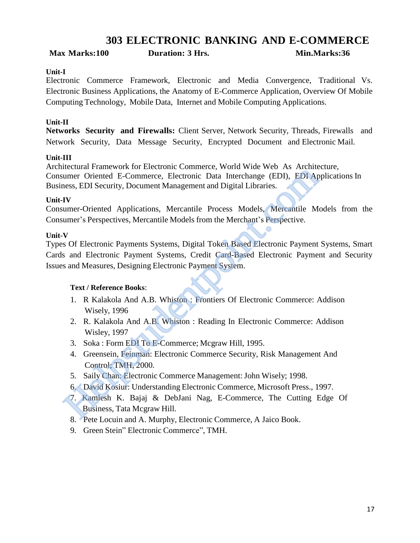## **303 ELECTRONIC BANKING AND E-COMMERCE**

**Max Marks:100 Duration: 3 Hrs. Min.Marks:36**

#### **Unit-I**

Electronic Commerce Framework, Electronic and Media Convergence, Traditional Vs. Electronic Business Applications, the Anatomy of E-Commerce Application, Overview Of Mobile Computing Technology, Mobile Data, Internet and Mobile Computing Applications.

#### **Unit-II**

**Networks Security and Firewalls:** Client Server, Network Security, Threads, Firewalls and Network Security, Data Message Security, Encrypted Document and Electronic Mail.

#### **Unit-III**

Architectural Framework for Electronic Commerce, World Wide Web As Architecture, Consumer Oriented E-Commerce, Electronic Data Interchange (EDI), EDI Applications In Business, EDI Security, Document Management and Digital Libraries.

#### **Unit-IV**

Consumer-Oriented Applications, Mercantile Process Models, Mercantile Models from the Consumer's Perspectives, Mercantile Models from the Merchant's Perspective.

#### **Unit-V**

Types Of Electronic Payments Systems, Digital Token Based Electronic Payment Systems, Smart Cards and Electronic Payment Systems, Credit Card-Based Electronic Payment and Security Issues and Measures, Designing Electronic Payment System. Solution: The Commerce, Network Control Commerce, Nicolassem Chinal Prince Commerce, Electronic Data Interchange (EDI), EDI Applieses, EDI Security, Document Management and Digital Libraries.<br>
IV<br>
IMMENT Commerce, Electron

- 1. R Kalakola And A.B. Whiston : Frontiers Of Electronic Commerce: Addison Wisely, 1996
- 2. R. Kalakola And A.B. Whiston : Reading In Electronic Commerce: Addison Wisley, 1997
- 3. Soka : Form EDI To E-Commerce; Mcgraw Hill, 1995.
- 4. Greensein, Feinman: Electronic Commerce Security, Risk Management And Control; TMH, 2000.
- 5. Saily Chan: Electronic Commerce Management:John Wisely; 1998.
- 6. David Kosiur: Understanding Electronic Commerce, Microsoft Press., 1997.
- 7. Kamlesh K. Bajaj & DebJani Nag, E-Commerce, The Cutting Edge Of Business, Tata Mcgraw Hill.
- 8. Pete Locuin and A. Murphy, Electronic Commerce, A Jaico Book.
- 9. Green Stein" Electronic Commerce", TMH.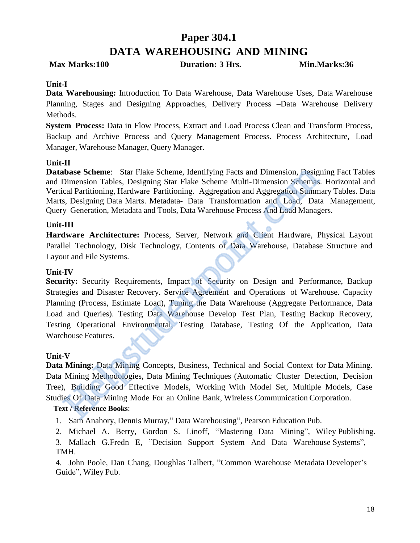## **Paper 304.1 DATA WAREHOUSING AND MINING**

**Max Marks:100 Duration: 3 Hrs. Min.Marks:36**

#### **Unit-I**

**Data Warehousing:** Introduction To Data Warehouse, Data Warehouse Uses, Data Warehouse Planning, Stages and Designing Approaches, Delivery Process –Data Warehouse Delivery Methods.

**System Process:** Data in Flow Process, Extract and Load Process Clean and Transform Process, Backup and Archive Process and Query Management Process. Process Architecture, Load Manager, Warehouse Manager, Query Manager.

#### **Unit-II**

**Database Scheme**: Star Flake Scheme, Identifying Facts and Dimension, Designing Fact Tables and Dimension Tables, Designing Star Flake Scheme Multi-Dimension Schemas. Horizontal and Vertical Partitioning, Hardware Partitioning. Aggregation and Aggregation Summary Tables. Data Marts, Designing Data Marts. Metadata- Data Transformation and Load, Data Management, Query Generation, Metadata and Tools, Data Warehouse Process And Load Managers.

#### **Unit-III**

**Hardware Architecture:** Process, Server, Network and Client Hardware, Physical Layout Parallel Technology, Disk Technology, Contents of Data Warehouse, Database Structure and Layout and File Systems.

#### **Unit-IV**

Security: Security Requirements, Impact of Security on Design and Performance, Backup Strategies and Disaster Recovery. Service Agreement and Operations of Warehouse. Capacity Planning (Process, Estimate Load), Tuning the Data Warehouse (Aggregate Performance, Data Load and Queries). Testing Data Warehouse Develop Test Plan, Testing Backup Recovery, Testing Operational Environmental, Testing Database, Testing Of the Application, Data Warehouse Features. **iblase Scheme**: Star Flake Scheme, Identifying Facts and Dimension, Designing Star Flake Scheme, Identifying Facts and Dimension, Designal Star Flake Scheme Multi-Dimension Schemas, Designal Partitioning, Hardware Partiti

#### **Unit-V**

**Data Mining:** Data Mining Concepts, Business, Technical and Social Context for Data Mining. Data Mining Methodologies, Data Mining Techniques (Automatic Cluster Detection, Decision Tree), Building Good Effective Models, Working With Model Set, Multiple Models, Case Studies Of Data Mining Mode For an Online Bank, Wireless Communication Corporation.

#### **Text / Reference Books**:

1. Sam Anahory, Dennis Murray," Data Warehousing", Pearson Education Pub.

- 2. Michael A. Berry, Gordon S. Linoff, "Mastering Data Mining", Wiley Publishing.
- 3. Mallach G.Fredn E, "Decision Support System And Data Warehouse Systems", TMH.

4. John Poole, Dan Chang, Doughlas Talbert, "Common Warehouse Metadata Developer's Guide", Wiley Pub.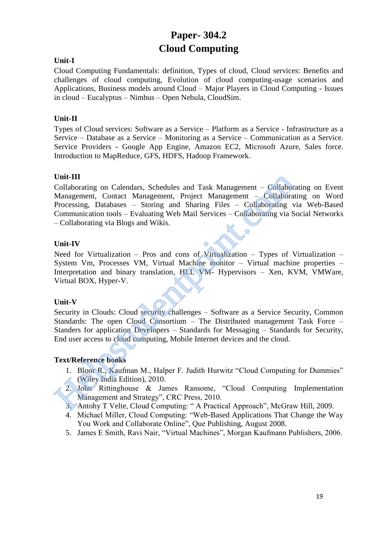## **Paper- 304.2 Cloud Computing**

#### **Unit-I**

Cloud Computing Fundamentals: definition, Types of cloud, Cloud services: Benefits and challenges of cloud computing, Evolution of cloud computing-usage scenarios and Applications, Business models around Cloud – Major Players in Cloud Computing - Issues in cloud – Eucalyptus – Nimbus – Open Nebula, CloudSim.

#### **Unit-II**

Types of Cloud services: Software as a Service – Platform as a Service - Infrastructure as a Service – Database as a Service – Monitoring as a Service – Communication as a Service. Service Providers - Google App Engine, Amazon EC2, Microsoft Azure, Sales force. Introduction to MapReduce, GFS, HDFS, Hadoop Framework.

#### **Unit-III**

Collaborating on Calendars, Schedules and Task Management – Collaborating on Event Management, Contact Management, Project Management – Collaborating on Word Processing, Databases – Storing and Sharing Files – Collaborating via Web-Based Communication tools – Evaluating Web Mail Services – Collaborating via Social Networks – Collaborating via Blogs and Wikis. Unit-III<br>
Unit-III<br>
Collaborating on Calendars, Schedules and Task Management – Collabor<br>
Management, Contact Management, Project Management – Collaborating<br>
Processing, Databases – Storing and Sharing Files – Collaboratin

#### **Unit-IV**

Need for Virtualization – Pros and cons of Virtualization – Types of Virtualization – System Vm, Processes VM, Virtual Machine monitor – Virtual machine properties – Interpretation and binary translation, HLL VM- Hypervisors – Xen, KVM, VMWare, Virtual BOX, Hyper-V.

#### **Unit-V**

Security in Clouds: Cloud security challenges – Software as a Service Security, Common Standards: The open Cloud Consortium – The Distributed management Task Force – Standers for application Developers – Standards for Messaging – Standards for Security, End user access to cloud computing, Mobile Internet devices and the cloud.

#### **Text/Reference books**

- 1. Bloor R., Kaufman M., Halper F. Judith Hurwitz "Cloud Computing for Dummies" (Wiley India Edition), 2010.
- 2. John Rittinghouse & James Ransome, "Cloud Computing Implementation Management and Strategy", CRC Press, 2010.
- 3. Antohy T Velte, Cloud Computing: " A Practical Approach", McGraw Hill, 2009.
- 4. Michael Miller, Cloud Computing: "Web-Based Applications That Change the Way You Work and Collaborate Online", Que Publishing, August 2008.
- 5. James E Smith, Ravi Nair, "Virtual Machines", Morgan Kaufmann Publishers, 2006.